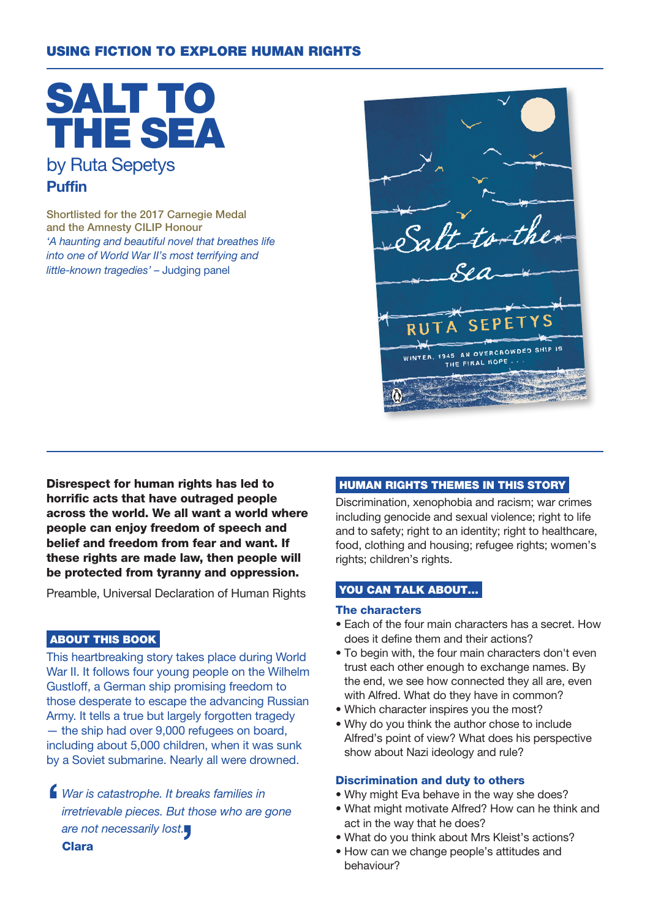# USING FICTION TO EXPLORE HUMAN RIGHTS

SALT TO THE SEA by Ruta Sepetys Puffin

Shortlisted for the 2017 Carnegie Medal and the Amnesty CILIP Honour 'A haunting and beautiful novel that breathes life into one of World War II's most terrifying and little-known tragedies' – Judging panel

S **RU** AN OVERCROWDED THE FINAL HOPE

Disrespect for human rights has led to horrific acts that have outraged people across the world. We all want a world where people can enjoy freedom of speech and belief and freedom from fear and want. If these rights are made law, then people will be protected from tyranny and oppression.

Preamble, Universal Declaration of Human Rights

### ABOUT THIS BOOK

This heartbreaking story takes place during World War II. It follows four young people on the Wilhelm Gustloff, a German ship promising freedom to those desperate to escape the advancing Russian Army. It tells a true but largely forgotten tragedy — the ship had over 9,000 refugees on board, including about 5,000 children, when it was sunk by a Soviet submarine. Nearly all were drowned.

 $\blacksquare$ War is catastrophe. It breaks families in irretrievable pieces. But those who are gone are not necessarily lost. Clara

## HUMAN RIGHTS THEMES IN THIS STORY

Discrimination, xenophobia and racism; war crimes including genocide and sexual violence; right to life and to safety; right to an identity; right to healthcare, food, clothing and housing; refugee rights; women's rights; children's rights.

### YOU CAN TALK ABOUT...

#### The characters

- Each of the four main characters has a secret. How does it define them and their actions?
- To begin with, the four main characters don't even trust each other enough to exchange names. By the end, we see how connected they all are, even with Alfred. What do they have in common?
- Which character inspires you the most?
- Why do you think the author chose to include Alfred's point of view? What does his perspective show about Nazi ideology and rule?

#### Discrimination and duty to others

- Why might Eva behave in the way she does?
- What might motivate Alfred? How can he think and act in the way that he does?
- What do you think about Mrs Kleist's actions?
- How can we change people's attitudes and behaviour?